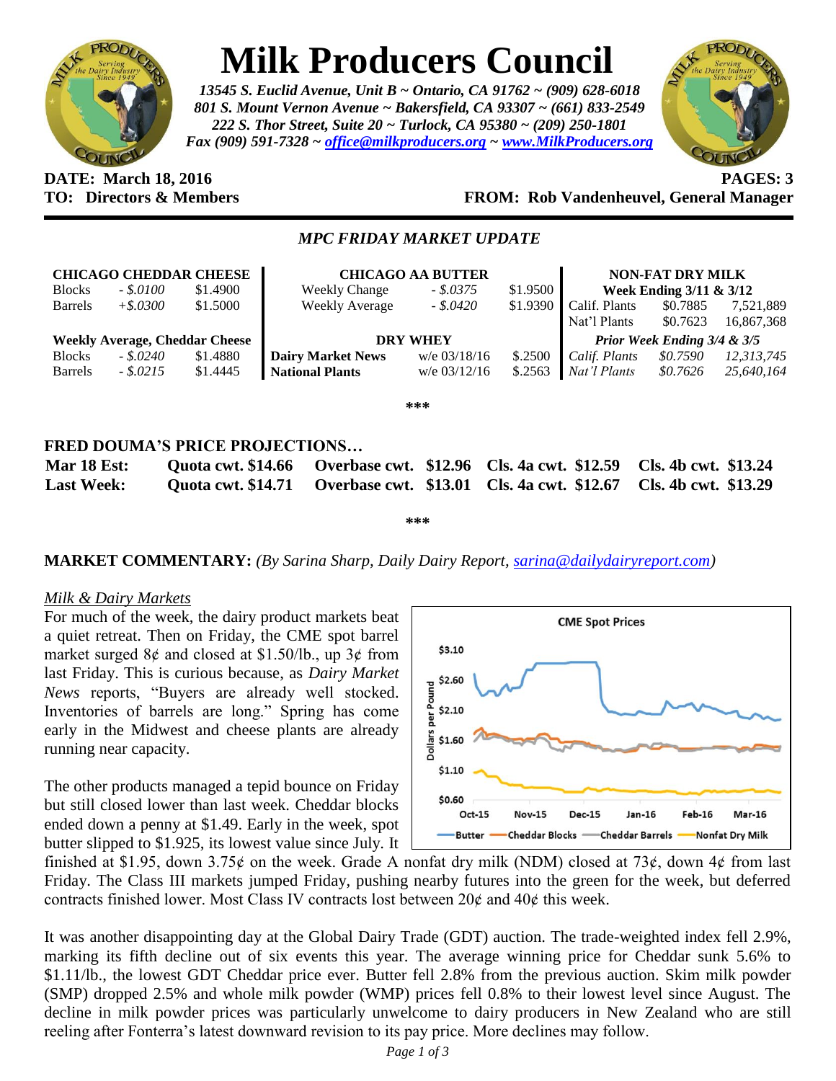

# **Milk Producers Council**

*13545 S. Euclid Avenue, Unit B ~ Ontario, CA 91762 ~ (909) 628-6018 801 S. Mount Vernon Avenue ~ Bakersfield, CA 93307 ~ (661) 833-2549 222 S. Thor Street, Suite 20 ~ Turlock, CA 95380 ~ (209) 250-1801 Fax (909) 591-7328 ~ [office@milkproducers.org](mailto:office@milkproducers.org) ~ [www.MilkProducers.org](http://www.milkproducers.org/)*



### **DATE: March 18, 2016 PAGES: 3 TO: Directors & Members FROM: Rob Vandenheuvel, General Manager**

## *MPC FRIDAY MARKET UPDATE*

| <b>CHICAGO CHEDDAR CHEESE</b>         |             |          | <b>CHICAGO AA BUTTER</b> |                |          | <b>NON-FAT DRY MILK</b>     |          |            |  |  |
|---------------------------------------|-------------|----------|--------------------------|----------------|----------|-----------------------------|----------|------------|--|--|
| <b>Blocks</b>                         | $-.5.0100$  | \$1.4900 | <b>Weekly Change</b>     | $-.5.0375$     | \$1.9500 | Week Ending 3/11 & 3/12     |          |            |  |  |
| <b>Barrels</b>                        | $+$ \$.0300 | \$1.5000 | Weekly Average           | $-.5.0420$     | \$1.9390 | Calif. Plants               | \$0.7885 | 7,521,889  |  |  |
|                                       |             |          |                          |                |          | Nat'l Plants                | \$0.7623 | 16,867,368 |  |  |
| <b>Weekly Average, Cheddar Cheese</b> |             |          | <b>DRY WHEY</b>          |                |          | Prior Week Ending 3/4 & 3/5 |          |            |  |  |
| <b>Blocks</b>                         | $-.5.0240$  | \$1.4880 | <b>Dairy Market News</b> | $w/e$ 03/18/16 | \$.2500  | Calif. Plants               | \$0.7590 | 12,313,745 |  |  |
| <b>Barrels</b>                        | $-.5.0215$  | \$1.4445 | <b>National Plants</b>   | w/e $03/12/16$ | \$.2563  | Nat'l Plants                | \$0.7626 | 25,640,164 |  |  |
| ***                                   |             |          |                          |                |          |                             |          |            |  |  |
| FRED DOUMA'S PRICE PROJECTIONS        |             |          |                          |                |          |                             |          |            |  |  |

| <b>Mar 18 Est:</b> |  |  |  | Quota cwt. \$14.66 Overbase cwt. \$12.96 Cls. 4a cwt. \$12.59 Cls. 4b cwt. \$13.24 |  |  |  |  |  |  |
|--------------------|--|--|--|------------------------------------------------------------------------------------|--|--|--|--|--|--|
| <b>Last Week:</b>  |  |  |  | Quota cwt. \$14.71 Overbase cwt. \$13.01 Cls. 4a cwt. \$12.67 Cls. 4b cwt. \$13.29 |  |  |  |  |  |  |

**\*\*\***

# **MARKET COMMENTARY:** *(By Sarina Sharp, Daily Dairy Report, [sarina@dailydairyreport.com\)](mailto:sarina@dailydairyreport.com)*

#### *Milk & Dairy Markets*

For much of the week, the dairy product markets beat a quiet retreat. Then on Friday, the CME spot barrel market surged  $8¢$  and closed at \$1.50/lb., up  $3¢$  from last Friday. This is curious because, as *Dairy Market News* reports, "Buyers are already well stocked. Inventories of barrels are long." Spring has come early in the Midwest and cheese plants are already running near capacity.

The other products managed a tepid bounce on Friday but still closed lower than last week. Cheddar blocks ended down a penny at \$1.49. Early in the week, spot butter slipped to \$1.925, its lowest value since July. It



finished at \$1.95, down 3.75 $\phi$  on the week. Grade A nonfat dry milk (NDM) closed at 73 $\phi$ , down 4 $\phi$  from last Friday. The Class III markets jumped Friday, pushing nearby futures into the green for the week, but deferred contracts finished lower. Most Class IV contracts lost between  $20¢$  and  $40¢$  this week.

It was another disappointing day at the Global Dairy Trade (GDT) auction. The trade-weighted index fell 2.9%, marking its fifth decline out of six events this year. The average winning price for Cheddar sunk 5.6% to \$1.11/lb., the lowest GDT Cheddar price ever. Butter fell 2.8% from the previous auction. Skim milk powder (SMP) dropped 2.5% and whole milk powder (WMP) prices fell 0.8% to their lowest level since August. The decline in milk powder prices was particularly unwelcome to dairy producers in New Zealand who are still reeling after Fonterra's latest downward revision to its pay price. More declines may follow.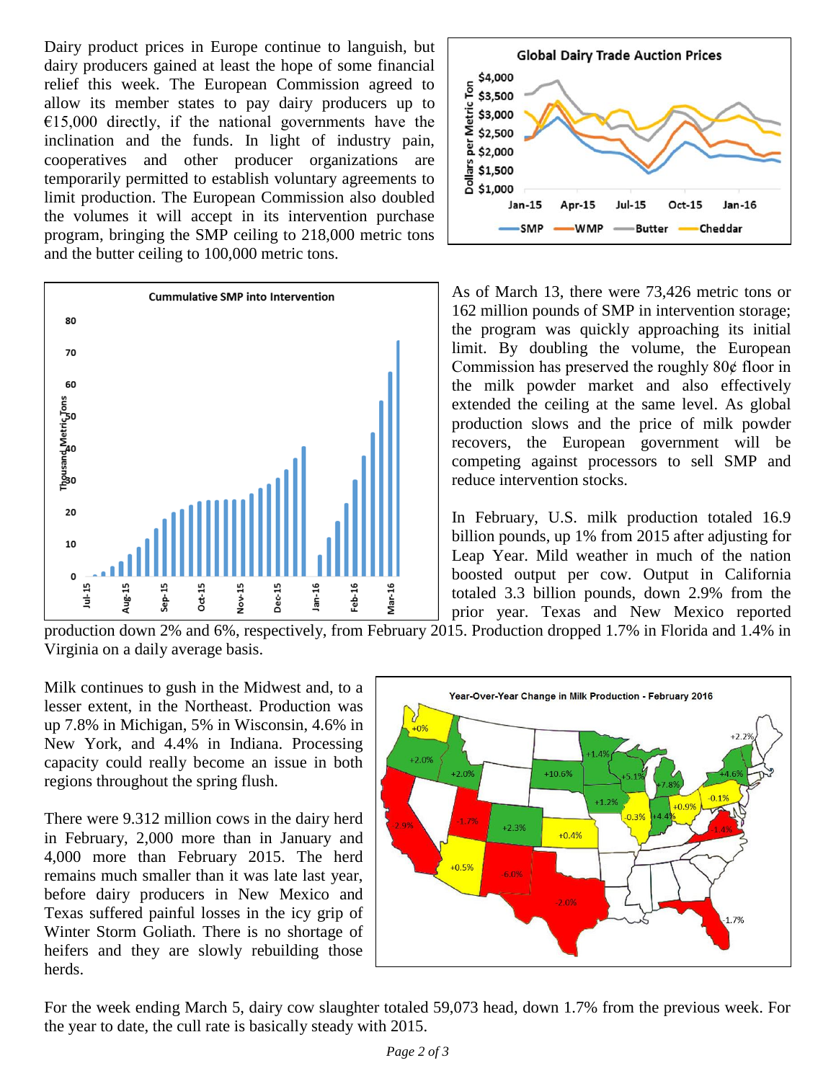Dairy product prices in Europe continue to languish, but dairy producers gained at least the hope of some financial relief this week. The European Commission agreed to allow its member states to pay dairy producers up to  $E15,000$  directly, if the national governments have the inclination and the funds. In light of industry pain, cooperatives and other producer organizations are temporarily permitted to establish voluntary agreements to limit production. The European Commission also doubled the volumes it will accept in its intervention purchase program, bringing the SMP ceiling to 218,000 metric tons and the butter ceiling to 100,000 metric tons.





As of March 13, there were 73,426 metric tons or 162 million pounds of SMP in intervention storage; the program was quickly approaching its initial limit. By doubling the volume, the European Commission has preserved the roughly  $80¢$  floor in the milk powder market and also effectively extended the ceiling at the same level. As global production slows and the price of milk powder recovers, the European government will be competing against processors to sell SMP and reduce intervention stocks.

In February, U.S. milk production totaled 16.9 billion pounds, up 1% from 2015 after adjusting for Leap Year. Mild weather in much of the nation boosted output per cow. Output in California totaled 3.3 billion pounds, down 2.9% from the prior year. Texas and New Mexico reported

production down 2% and 6%, respectively, from February 2015. Production dropped 1.7% in Florida and 1.4% in Virginia on a daily average basis.

Milk continues to gush in the Midwest and, to a lesser extent, in the Northeast. Production was up 7.8% in Michigan, 5% in Wisconsin, 4.6% in New York, and 4.4% in Indiana. Processing capacity could really become an issue in both regions throughout the spring flush.

There were 9.312 million cows in the dairy herd in February, 2,000 more than in January and 4,000 more than February 2015. The herd remains much smaller than it was late last year, before dairy producers in New Mexico and Texas suffered painful losses in the icy grip of Winter Storm Goliath. There is no shortage of heifers and they are slowly rebuilding those herds.



For the week ending March 5, dairy cow slaughter totaled 59,073 head, down 1.7% from the previous week. For the year to date, the cull rate is basically steady with 2015.